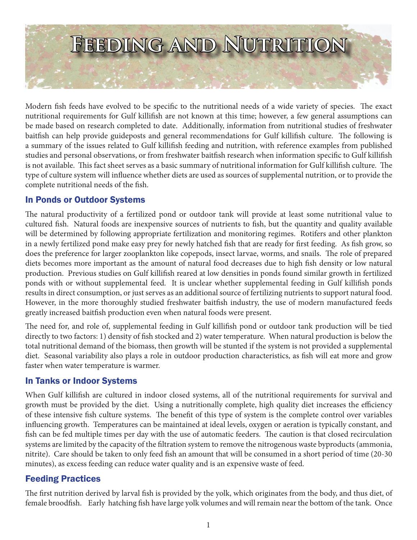

Modern fish feeds have evolved to be specific to the nutritional needs of a wide variety of species. The exact nutritional requirements for Gulf killifish are not known at this time; however, a few general assumptions can be made based on research completed to date. Additionally, information from nutritional studies of freshwater baitfish can help provide guideposts and general recommendations for Gulf killifish culture. The following is a summary of the issues related to Gulf killifish feeding and nutrition, with reference examples from published studies and personal observations, or from freshwater baitfish research when information specific to Gulf killifish is not available. This fact sheet serves as a basic summary of nutritional information for Gulf killifish culture. The type of culture system will influence whether diets are used as sources of supplemental nutrition, or to provide the complete nutritional needs of the fish.

## In Ponds or Outdoor Systems

The natural productivity of a fertilized pond or outdoor tank will provide at least some nutritional value to cultured fish. Natural foods are inexpensive sources of nutrients to fish, but the quantity and quality available will be determined by following appropriate fertilization and monitoring regimes. Rotifers and other plankton in a newly fertilized pond make easy prey for newly hatched fish that are ready for first feeding. As fish grow, so does the preference for larger zooplankton like copepods, insect larvae, worms, and snails. The role of prepared diets becomes more important as the amount of natural food decreases due to high fish density or low natural production. Previous studies on Gulf killifish reared at low densities in ponds found similar growth in fertilized ponds with or without supplemental feed. It is unclear whether supplemental feeding in Gulf killifish ponds results in direct consumption, or just serves as an additional source of fertilizing nutrients to support natural food. However, in the more thoroughly studied freshwater baitfish industry, the use of modern manufactured feeds greatly increased baitfish production even when natural foods were present.

The need for, and role of, supplemental feeding in Gulf killifish pond or outdoor tank production will be tied directly to two factors: 1) density of fish stocked and 2) water temperature. When natural production is below the total nutritional demand of the biomass, then growth will be stunted if the system is not provided a supplemental diet. Seasonal variability also plays a role in outdoor production characteristics, as fish will eat more and grow faster when water temperature is warmer.

### In Tanks or Indoor Systems

When Gulf killifish are cultured in indoor closed systems, all of the nutritional requirements for survival and growth must be provided by the diet. Using a nutritionally complete, high quality diet increases the efficiency of these intensive fish culture systems. The benefit of this type of system is the complete control over variables influencing growth. Temperatures can be maintained at ideal levels, oxygen or aeration is typically constant, and fish can be fed multiple times per day with the use of automatic feeders. The caution is that closed recirculation systems are limited by the capacity of the filtration system to remove the nitrogenous waste byproducts (ammonia, nitrite). Care should be taken to only feed fish an amount that will be consumed in a short period of time (20-30 minutes), as excess feeding can reduce water quality and is an expensive waste of feed.

### Feeding Practices

The first nutrition derived by larval fish is provided by the yolk, which originates from the body, and thus diet, of female broodfish. Early hatching fish have large yolk volumes and will remain near the bottom of the tank. Once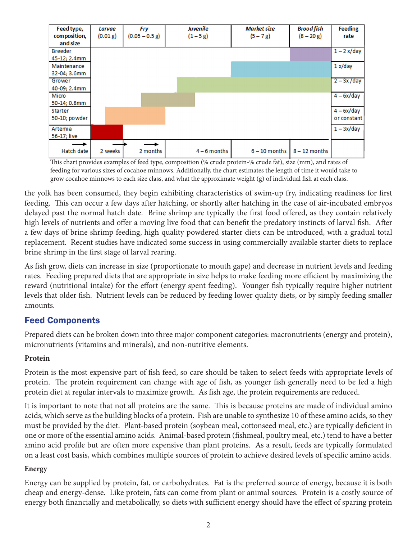| Feed type,     | Larvae   | <b>Fry</b>       | Juvenile     | <b>Market size</b> | <b>Brood fish</b> | <b>Feeding</b> |
|----------------|----------|------------------|--------------|--------------------|-------------------|----------------|
| composition,   | (0.01 g) | $(0.05 - 0.5 g)$ | $(1 - 5 g)$  | $(5 - 7 g)$        | $(8 - 20 g)$      | rate           |
| and size       |          |                  |              |                    |                   |                |
| <b>Breeder</b> |          |                  |              |                    |                   | $1 - 2x/day$   |
| 45-12; 2.4mm   |          |                  |              |                    |                   |                |
| Maintenance    |          |                  |              |                    |                   | 1 x/day        |
| 32-04; 3.6mm   |          |                  |              |                    |                   |                |
| Grower         |          |                  |              |                    |                   | $2 - 3x/day$   |
| 40-09; 2.4mm   |          |                  |              |                    |                   |                |
| Micro          |          |                  |              |                    |                   | $4-6x/day$     |
| 50-14; 0.8mm   |          |                  |              |                    |                   |                |
| Starter        |          |                  |              |                    |                   | $4-6x/day$     |
| 50-10; powder  |          |                  |              |                    |                   | or constant    |
| Artemia        |          |                  |              |                    |                   | $1 - 3x/day$   |
| 56-17; live    |          |                  |              |                    |                   |                |
|                |          |                  |              |                    |                   |                |
| Hatch date     | 2 weeks  | 2 months         | $4-6$ months | $6 - 10$ months    | $8 - 12$ months   |                |

This chart provides examples of feed type, composition (% crude protein-% crude fat), size (mm), and rates of feeding for various sizes of cocahoe minnows. Additionally, the chart estimates the length of time it would take to grow cocahoe minnows to each size class, and what the approximate weight (g) of individual fish at each class.

the yolk has been consumed, they begin exhibiting characteristics of swim-up fry, indicating readiness for first feeding. This can occur a few days after hatching, or shortly after hatching in the case of air-incubated embryos delayed past the normal hatch date. Brine shrimp are typically the first food offered, as they contain relatively high levels of nutrients and offer a moving live food that can benefit the predatory instincts of larval fish. After a few days of brine shrimp feeding, high quality powdered starter diets can be introduced, with a gradual total replacement. Recent studies have indicated some success in using commercially available starter diets to replace brine shrimp in the first stage of larval rearing.

As fish grow, diets can increase in size (proportionate to mouth gape) and decrease in nutrient levels and feeding rates. Feeding prepared diets that are appropriate in size helps to make feeding more efficient by maximizing the reward (nutritional intake) for the effort (energy spent feeding). Younger fish typically require higher nutrient levels that older fish. Nutrient levels can be reduced by feeding lower quality diets, or by simply feeding smaller amounts.

# Feed Components

Prepared diets can be broken down into three major component categories: macronutrients (energy and protein), micronutrients (vitamins and minerals), and non-nutritive elements.

### **Protein**

Protein is the most expensive part of fish feed, so care should be taken to select feeds with appropriate levels of protein. The protein requirement can change with age of fish, as younger fish generally need to be fed a high protein diet at regular intervals to maximize growth. As fish age, the protein requirements are reduced.

It is important to note that not all proteins are the same. This is because proteins are made of individual amino acids, which serve as the building blocks of a protein. Fish are unable to synthesize 10 of these amino acids, so they must be provided by the diet. Plant-based protein (soybean meal, cottonseed meal, etc.) are typically deficient in one or more of the essential amino acids. Animal-based protein (fishmeal, poultry meal, etc.) tend to have a better amino acid profile but are often more expensive than plant proteins. As a result, feeds are typically formulated on a least cost basis, which combines multiple sources of protein to achieve desired levels of specific amino acids.

### **Energy**

Energy can be supplied by protein, fat, or carbohydrates. Fat is the preferred source of energy, because it is both cheap and energy-dense. Like protein, fats can come from plant or animal sources. Protein is a costly source of energy both financially and metabolically, so diets with sufficient energy should have the effect of sparing protein